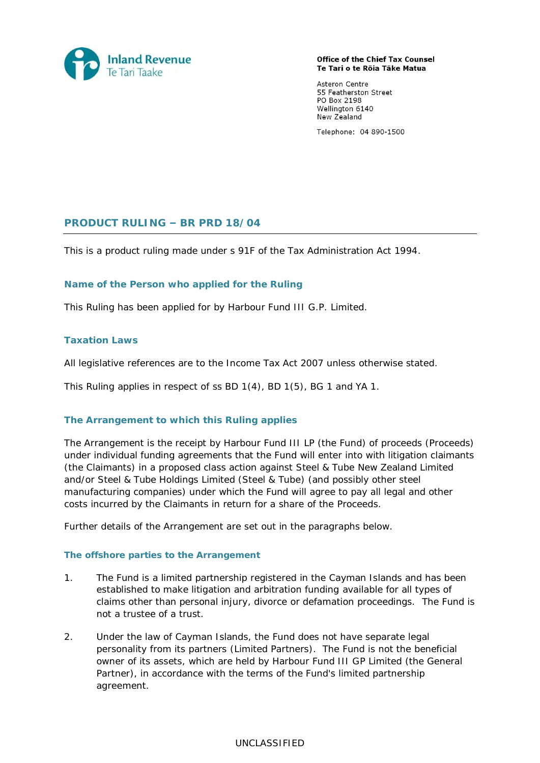

**Office of the Chief Tax Counsel** Te Tari o te Rōia Tāke Matua

Asteron Centre 55 Featherston Street PO Box 2198 Wellington 6140 New Zealand

Telephone: 04 890-1500

# **PRODUCT RULING – BR PRD 18/04**

This is a product ruling made under s 91F of the Tax Administration Act 1994.

## **Name of the Person who applied for the Ruling**

This Ruling has been applied for by Harbour Fund III G.P. Limited.

## **Taxation Laws**

All legislative references are to the Income Tax Act 2007 unless otherwise stated.

This Ruling applies in respect of ss BD 1(4), BD 1(5), BG 1 and YA 1.

## **The Arrangement to which this Ruling applies**

The Arrangement is the receipt by Harbour Fund III LP (the Fund) of proceeds (Proceeds) under individual funding agreements that the Fund will enter into with litigation claimants (the Claimants) in a proposed class action against Steel & Tube New Zealand Limited and/or Steel & Tube Holdings Limited (Steel & Tube) (and possibly other steel manufacturing companies) under which the Fund will agree to pay all legal and other costs incurred by the Claimants in return for a share of the Proceeds.

Further details of the Arrangement are set out in the paragraphs below.

## *The offshore parties to the Arrangement*

- 1. The Fund is a limited partnership registered in the Cayman Islands and has been established to make litigation and arbitration funding available for all types of claims other than personal injury, divorce or defamation proceedings. The Fund is not a trustee of a trust.
- 2. Under the law of Cayman Islands, the Fund does not have separate legal personality from its partners (Limited Partners). The Fund is not the beneficial owner of its assets, which are held by Harbour Fund III GP Limited (the General Partner), in accordance with the terms of the Fund's limited partnership agreement.

## UNCLASSIFIED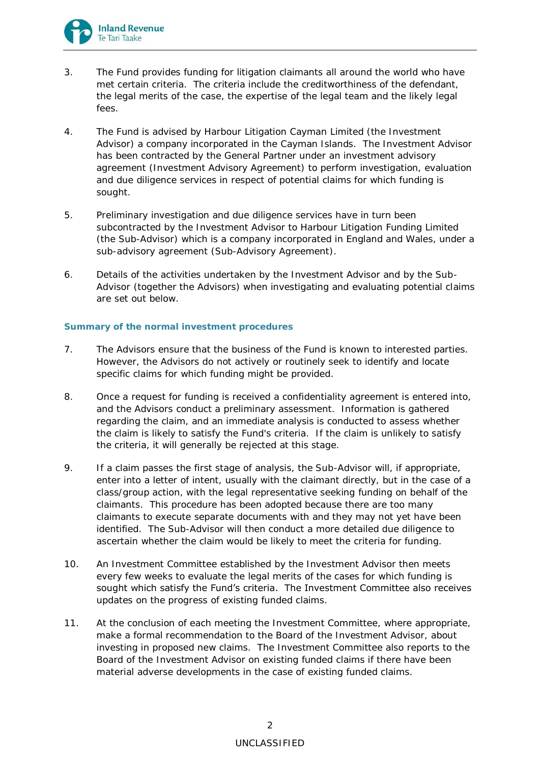

- 3. The Fund provides funding for litigation claimants all around the world who have met certain criteria. The criteria include the creditworthiness of the defendant, the legal merits of the case, the expertise of the legal team and the likely legal fees.
- 4. The Fund is advised by Harbour Litigation Cayman Limited (the Investment Advisor) a company incorporated in the Cayman Islands. The Investment Advisor has been contracted by the General Partner under an investment advisory agreement (Investment Advisory Agreement) to perform investigation, evaluation and due diligence services in respect of potential claims for which funding is sought.
- 5. Preliminary investigation and due diligence services have in turn been subcontracted by the Investment Advisor to Harbour Litigation Funding Limited (the Sub-Advisor) which is a company incorporated in England and Wales, under a sub-advisory agreement (Sub-Advisory Agreement).
- 6. Details of the activities undertaken by the Investment Advisor and by the Sub-Advisor (together the Advisors) when investigating and evaluating potential claims are set out below.

# *Summary of the normal investment procedures*

- 7. The Advisors ensure that the business of the Fund is known to interested parties. However, the Advisors do not actively or routinely seek to identify and locate specific claims for which funding might be provided.
- 8. Once a request for funding is received a confidentiality agreement is entered into, and the Advisors conduct a preliminary assessment. Information is gathered regarding the claim, and an immediate analysis is conducted to assess whether the claim is likely to satisfy the Fund's criteria. If the claim is unlikely to satisfy the criteria, it will generally be rejected at this stage.
- 9. If a claim passes the first stage of analysis, the Sub-Advisor will, if appropriate, enter into a letter of intent, usually with the claimant directly, but in the case of a class/group action, with the legal representative seeking funding on behalf of the claimants. This procedure has been adopted because there are too many claimants to execute separate documents with and they may not yet have been identified. The Sub-Advisor will then conduct a more detailed due diligence to ascertain whether the claim would be likely to meet the criteria for funding.
- 10. An Investment Committee established by the Investment Advisor then meets every few weeks to evaluate the legal merits of the cases for which funding is sought which satisfy the Fund's criteria. The Investment Committee also receives updates on the progress of existing funded claims.
- 11. At the conclusion of each meeting the Investment Committee, where appropriate, make a formal recommendation to the Board of the Investment Advisor, about investing in proposed new claims. The Investment Committee also reports to the Board of the Investment Advisor on existing funded claims if there have been material adverse developments in the case of existing funded claims.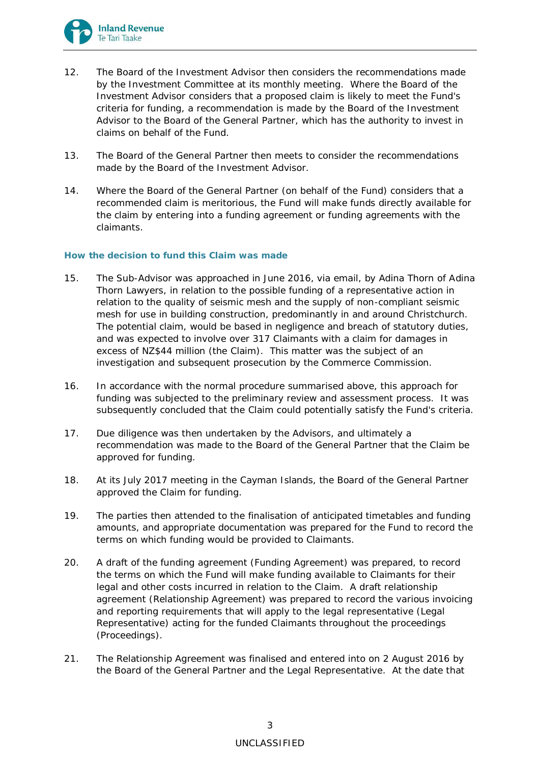

- 12. The Board of the Investment Advisor then considers the recommendations made by the Investment Committee at its monthly meeting. Where the Board of the Investment Advisor considers that a proposed claim is likely to meet the Fund's criteria for funding, a recommendation is made by the Board of the Investment Advisor to the Board of the General Partner, which has the authority to invest in claims on behalf of the Fund.
- 13. The Board of the General Partner then meets to consider the recommendations made by the Board of the Investment Advisor.
- 14. Where the Board of the General Partner (on behalf of the Fund) considers that a recommended claim is meritorious, the Fund will make funds directly available for the claim by entering into a funding agreement or funding agreements with the claimants.

#### *How the decision to fund this Claim was made*

- 15. The Sub-Advisor was approached in June 2016, via email, by Adina Thorn of Adina Thorn Lawyers, in relation to the possible funding of a representative action in relation to the quality of seismic mesh and the supply of non-compliant seismic mesh for use in building construction, predominantly in and around Christchurch. The potential claim, would be based in negligence and breach of statutory duties, and was expected to involve over 317 Claimants with a claim for damages in excess of NZ\$44 million (the Claim). This matter was the subject of an investigation and subsequent prosecution by the Commerce Commission.
- 16. In accordance with the normal procedure summarised above, this approach for funding was subjected to the preliminary review and assessment process. It was subsequently concluded that the Claim could potentially satisfy the Fund's criteria.
- 17. Due diligence was then undertaken by the Advisors, and ultimately a recommendation was made to the Board of the General Partner that the Claim be approved for funding.
- 18. At its July 2017 meeting in the Cayman Islands, the Board of the General Partner approved the Claim for funding.
- 19. The parties then attended to the finalisation of anticipated timetables and funding amounts, and appropriate documentation was prepared for the Fund to record the terms on which funding would be provided to Claimants.
- 20. A draft of the funding agreement (Funding Agreement) was prepared, to record the terms on which the Fund will make funding available to Claimants for their legal and other costs incurred in relation to the Claim. A draft relationship agreement (Relationship Agreement) was prepared to record the various invoicing and reporting requirements that will apply to the legal representative (Legal Representative) acting for the funded Claimants throughout the proceedings (Proceedings).
- 21. The Relationship Agreement was finalised and entered into on 2 August 2016 by the Board of the General Partner and the Legal Representative. At the date that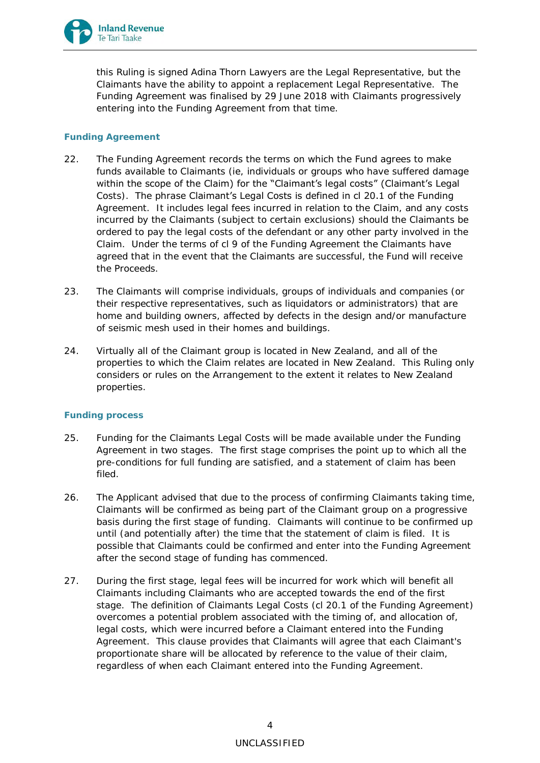

this Ruling is signed Adina Thorn Lawyers are the Legal Representative, but the Claimants have the ability to appoint a replacement Legal Representative. The Funding Agreement was finalised by 29 June 2018 with Claimants progressively entering into the Funding Agreement from that time.

# *Funding Agreement*

- 22. The Funding Agreement records the terms on which the Fund agrees to make funds available to Claimants (ie, individuals or groups who have suffered damage within the scope of the Claim) for the "Claimant's legal costs" (Claimant's Legal Costs). The phrase Claimant's Legal Costs is defined in cl 20.1 of the Funding Agreement. It includes legal fees incurred in relation to the Claim, and any costs incurred by the Claimants (subject to certain exclusions) should the Claimants be ordered to pay the legal costs of the defendant or any other party involved in the Claim. Under the terms of cl 9 of the Funding Agreement the Claimants have agreed that in the event that the Claimants are successful, the Fund will receive the Proceeds.
- 23. The Claimants will comprise individuals, groups of individuals and companies (or their respective representatives, such as liquidators or administrators) that are home and building owners, affected by defects in the design and/or manufacture of seismic mesh used in their homes and buildings.
- 24. Virtually all of the Claimant group is located in New Zealand, and all of the properties to which the Claim relates are located in New Zealand. This Ruling only considers or rules on the Arrangement to the extent it relates to New Zealand properties.

# *Funding process*

- 25. Funding for the Claimants Legal Costs will be made available under the Funding Agreement in two stages. The first stage comprises the point up to which all the pre-conditions for full funding are satisfied, and a statement of claim has been filed.
- 26. The Applicant advised that due to the process of confirming Claimants taking time, Claimants will be confirmed as being part of the Claimant group on a progressive basis during the first stage of funding. Claimants will continue to be confirmed up until (and potentially after) the time that the statement of claim is filed. It is possible that Claimants could be confirmed and enter into the Funding Agreement after the second stage of funding has commenced.
- 27. During the first stage, legal fees will be incurred for work which will benefit all Claimants including Claimants who are accepted towards the end of the first stage. The definition of Claimants Legal Costs (cl 20.1 of the Funding Agreement*)* overcomes a potential problem associated with the timing of, and allocation of, legal costs, which were incurred before a Claimant entered into the Funding Agreement. This clause provides that Claimants will agree that each Claimant's proportionate share will be allocated by reference to the value of their claim, regardless of when each Claimant entered into the Funding Agreement.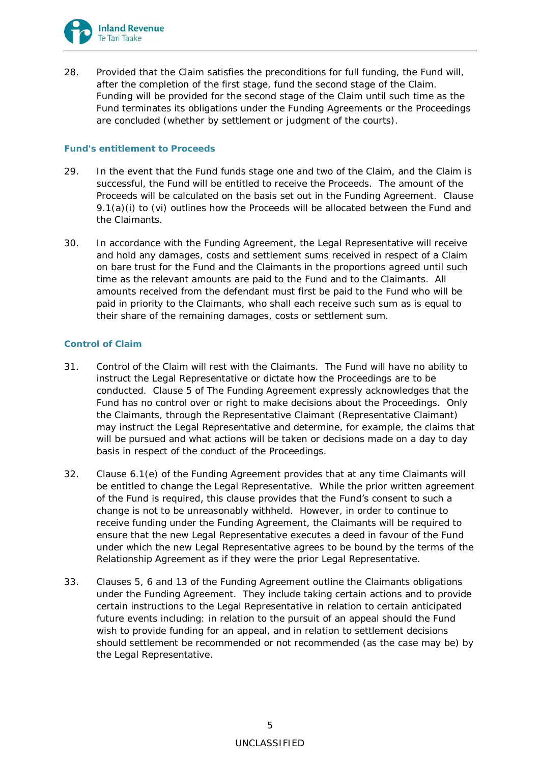

28. Provided that the Claim satisfies the preconditions for full funding, the Fund will, after the completion of the first stage, fund the second stage of the Claim. Funding will be provided for the second stage of the Claim until such time as the Fund terminates its obligations under the Funding Agreements or the Proceedings are concluded (whether by settlement or judgment of the courts).

## *Fund's entitlement to Proceeds*

- 29. In the event that the Fund funds stage one and two of the Claim, and the Claim is successful, the Fund will be entitled to receive the Proceeds. The amount of the Proceeds will be calculated on the basis set out in the Funding Agreement. Clause 9.1(a)(i) to (vi) outlines how the Proceeds will be allocated between the Fund and the Claimants.
- 30. In accordance with the Funding Agreement, the Legal Representative will receive and hold any damages, costs and settlement sums received in respect of a Claim on bare trust for the Fund and the Claimants in the proportions agreed until such time as the relevant amounts are paid to the Fund and to the Claimants. All amounts received from the defendant must first be paid to the Fund who will be paid in priority to the Claimants, who shall each receive such sum as is equal to their share of the remaining damages, costs or settlement sum.

# *Control of Claim*

- 31. Control of the Claim will rest with the Claimants. The Fund will have no ability to instruct the Legal Representative or dictate how the Proceedings are to be conducted. Clause 5 of The Funding Agreement expressly acknowledges that the Fund has no control over or right to make decisions about the Proceedings. Only the Claimants, through the Representative Claimant (Representative Claimant) may instruct the Legal Representative and determine, for example, the claims that will be pursued and what actions will be taken or decisions made on a day to day basis in respect of the conduct of the Proceedings.
- 32. Clause 6.1(e) of the Funding Agreement provides that at any time Claimants will be entitled to change the Legal Representative. While the prior written agreement of the Fund is required, this clause provides that the Fund's consent to such a change is not to be unreasonably withheld. However, in order to continue to receive funding under the Funding Agreement, the Claimants will be required to ensure that the new Legal Representative executes a deed in favour of the Fund under which the new Legal Representative agrees to be bound by the terms of the Relationship Agreement as if they were the prior Legal Representative.
- 33. Clauses 5, 6 and 13 of the Funding Agreement outline the Claimants obligations under the Funding Agreement. They include taking certain actions and to provide certain instructions to the Legal Representative in relation to certain anticipated future events including: in relation to the pursuit of an appeal should the Fund wish to provide funding for an appeal, and in relation to settlement decisions should settlement be recommended or not recommended (as the case may be) by the Legal Representative.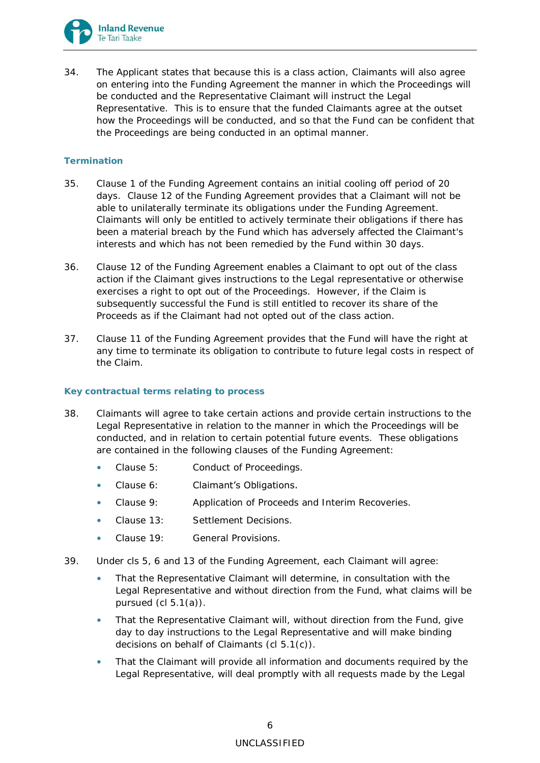

34. The Applicant states that because this is a class action, Claimants will also agree on entering into the Funding Agreement the manner in which the Proceedings will be conducted and the Representative Claimant will instruct the Legal Representative. This is to ensure that the funded Claimants agree at the outset how the Proceedings will be conducted, and so that the Fund can be confident that the Proceedings are being conducted in an optimal manner.

# *Termination*

- 35. Clause 1 of the Funding Agreement contains an initial cooling off period of 20 days. Clause 12 of the Funding Agreement provides that a Claimant will not be able to unilaterally terminate its obligations under the Funding Agreement. Claimants will only be entitled to actively terminate their obligations if there has been a material breach by the Fund which has adversely affected the Claimant's interests and which has not been remedied by the Fund within 30 days.
- 36. Clause 12 of the Funding Agreement enables a Claimant to opt out of the class action if the Claimant gives instructions to the Legal representative or otherwise exercises a right to opt out of the Proceedings. However, if the Claim is subsequently successful the Fund is still entitled to recover its share of the Proceeds as if the Claimant had not opted out of the class action.
- 37. Clause 11 of the Funding Agreement provides that the Fund will have the right at any time to terminate its obligation to contribute to future legal costs in respect of the Claim.

## *Key contractual terms relating to process*

- 38. Claimants will agree to take certain actions and provide certain instructions to the Legal Representative in relation to the manner in which the Proceedings will be conducted, and in relation to certain potential future events. These obligations are contained in the following clauses of the Funding Agreement:
	- Clause 5: Conduct of Proceedings.
	- Clause 6: Claimant's Obligations.
	- Clause 9: Application of Proceeds and Interim Recoveries.
	- Clause 13: Settlement Decisions.
	- Clause 19: General Provisions.
- 39. Under cls 5, 6 and 13 of the Funding Agreement, each Claimant will agree:
	- That the Representative Claimant will determine, in consultation with the Legal Representative and without direction from the Fund, what claims will be pursued (cl 5.1(a)).
	- That the Representative Claimant will, without direction from the Fund, give day to day instructions to the Legal Representative and will make binding decisions on behalf of Claimants (cl 5.1(c)).
	- That the Claimant will provide all information and documents required by the Legal Representative, will deal promptly with all requests made by the Legal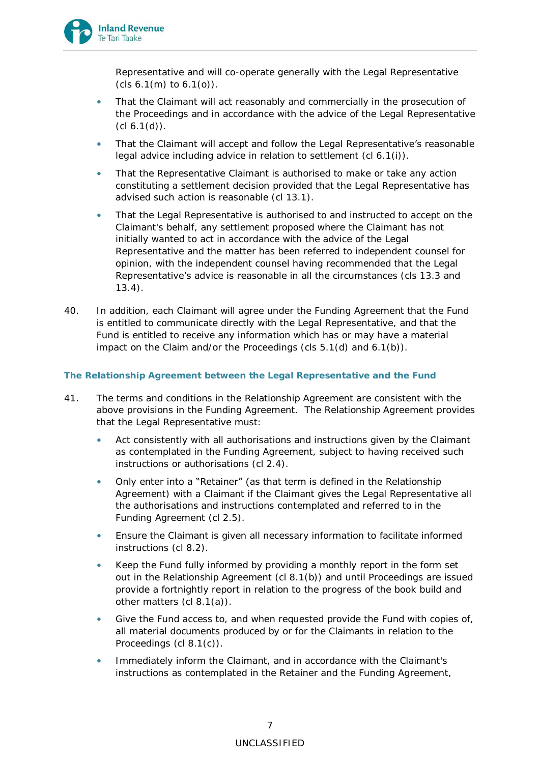

Representative and will co-operate generally with the Legal Representative (cls 6.1(m) to 6.1(o)).

- That the Claimant will act reasonably and commercially in the prosecution of the Proceedings and in accordance with the advice of the Legal Representative  $(cl 6.1(d))$ .
- That the Claimant will accept and follow the Legal Representative's reasonable legal advice including advice in relation to settlement (cl 6.1(i)).
- That the Representative Claimant is authorised to make or take any action constituting a settlement decision provided that the Legal Representative has advised such action is reasonable (cl 13.1).
- That the Legal Representative is authorised to and instructed to accept on the Claimant's behalf, any settlement proposed where the Claimant has not initially wanted to act in accordance with the advice of the Legal Representative and the matter has been referred to independent counsel for opinion, with the independent counsel having recommended that the Legal Representative's advice is reasonable in all the circumstances (cls 13.3 and 13.4).
- 40. In addition, each Claimant will agree under the Funding Agreement that the Fund is entitled to communicate directly with the Legal Representative, and that the Fund is entitled to receive any information which has or may have a material impact on the Claim and/or the Proceedings (cls 5.1(d) and 6.1(b)).

# *The Relationship Agreement between the Legal Representative and the Fund*

- 41. The terms and conditions in the Relationship Agreement are consistent with the above provisions in the Funding Agreement. The Relationship Agreement provides that the Legal Representative must:
	- Act consistently with all authorisations and instructions given by the Claimant as contemplated in the Funding Agreement, subject to having received such instructions or authorisations (cl 2.4).
	- Only enter into a "Retainer" (as that term is defined in the Relationship Agreement) with a Claimant if the Claimant gives the Legal Representative all the authorisations and instructions contemplated and referred to in the Funding Agreement (cl 2.5).
	- Ensure the Claimant is given all necessary information to facilitate informed instructions (cl 8.2).
	- Keep the Fund fully informed by providing a monthly report in the form set out in the Relationship Agreement (cl 8.1(b)) and until Proceedings are issued provide a fortnightly report in relation to the progress of the book build and other matters (cl 8.1(a)).
	- Give the Fund access to, and when requested provide the Fund with copies of, all material documents produced by or for the Claimants in relation to the Proceedings (cl 8.1(c)).
	- Immediately inform the Claimant, and in accordance with the Claimant's instructions as contemplated in the Retainer and the Funding Agreement,